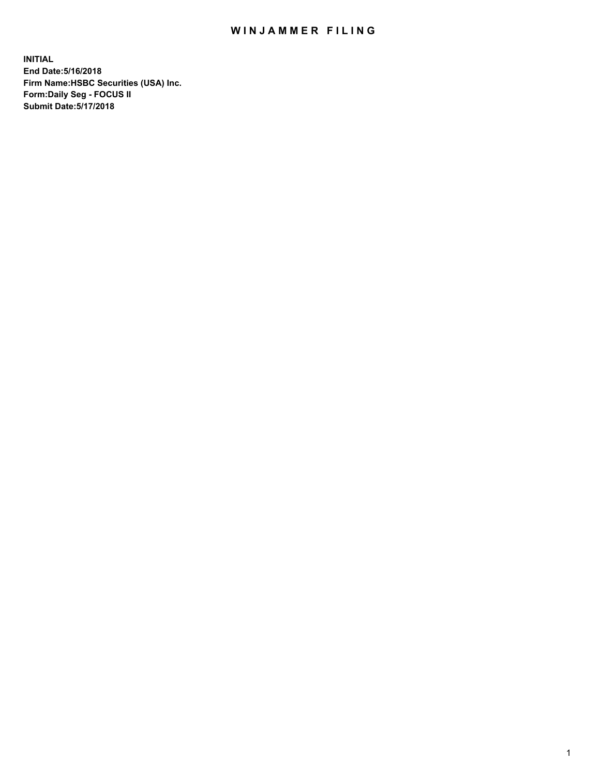## WIN JAMMER FILING

**INITIAL End Date:5/16/2018 Firm Name:HSBC Securities (USA) Inc. Form:Daily Seg - FOCUS II Submit Date:5/17/2018**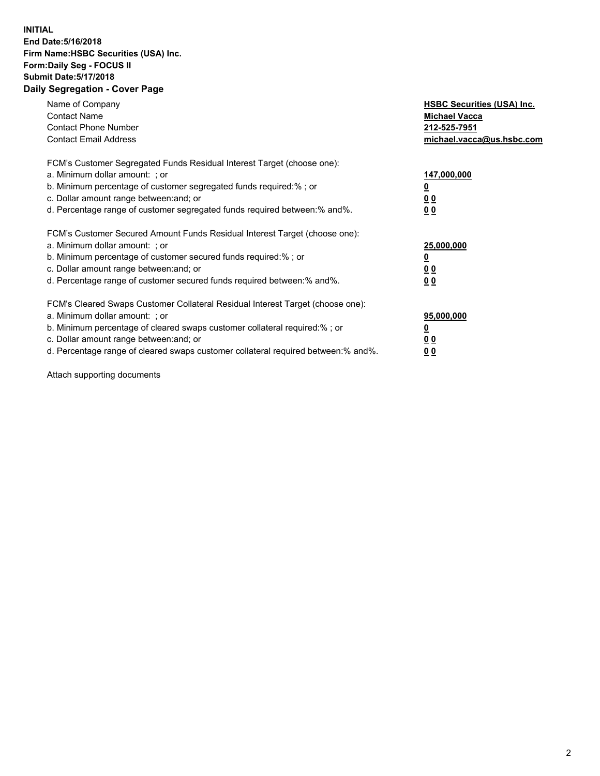## **INITIAL End Date:5/16/2018 Firm Name:HSBC Securities (USA) Inc. Form:Daily Seg - FOCUS II Submit Date:5/17/2018 Daily Segregation - Cover Page**

| Name of Company<br><b>Contact Name</b><br><b>Contact Phone Number</b><br><b>Contact Email Address</b>                                                                                                                                                                                                                         | <b>HSBC Securities (USA) Inc.</b><br><b>Michael Vacca</b><br>212-525-7951<br>michael.vacca@us.hsbc.com |
|-------------------------------------------------------------------------------------------------------------------------------------------------------------------------------------------------------------------------------------------------------------------------------------------------------------------------------|--------------------------------------------------------------------------------------------------------|
| FCM's Customer Segregated Funds Residual Interest Target (choose one):<br>a. Minimum dollar amount: ; or<br>b. Minimum percentage of customer segregated funds required:%; or<br>c. Dollar amount range between: and; or<br>d. Percentage range of customer segregated funds required between: % and %.                       | 147,000,000<br><u>0</u><br><u>00</u><br>00                                                             |
| FCM's Customer Secured Amount Funds Residual Interest Target (choose one):<br>a. Minimum dollar amount: ; or<br>b. Minimum percentage of customer secured funds required:%; or<br>c. Dollar amount range between: and; or<br>d. Percentage range of customer secured funds required between: % and %.                         | 25,000,000<br><u>0</u><br><u>00</u><br>00                                                              |
| FCM's Cleared Swaps Customer Collateral Residual Interest Target (choose one):<br>a. Minimum dollar amount: ; or<br>b. Minimum percentage of cleared swaps customer collateral required:%; or<br>c. Dollar amount range between: and; or<br>d. Percentage range of cleared swaps customer collateral required between:% and%. | 95,000,000<br><u>0</u><br><u>00</u><br><u>00</u>                                                       |

Attach supporting documents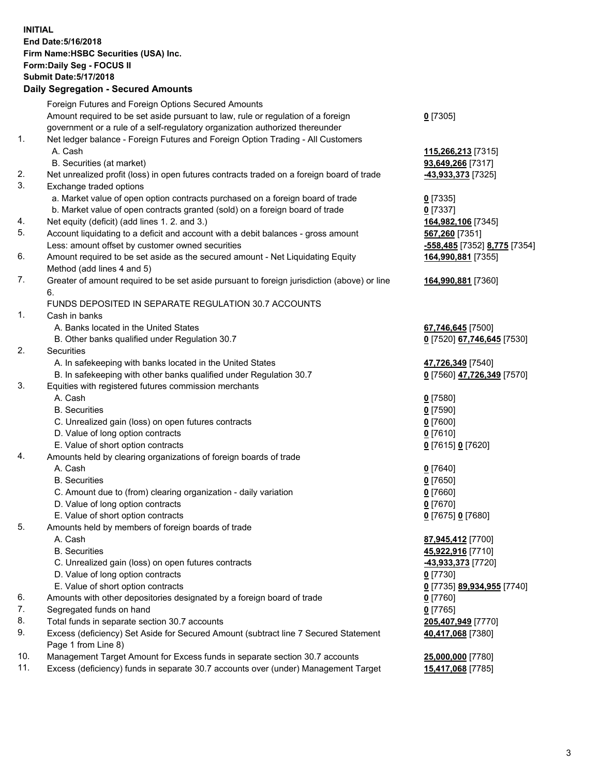**INITIAL End Date:5/16/2018 Firm Name:HSBC Securities (USA) Inc. Form:Daily Seg - FOCUS II Submit Date:5/17/2018 Daily Segregation - Secured Amounts**

Foreign Futures and Foreign Options Secured Amounts Amount required to be set aside pursuant to law, rule or regulation of a foreign government or a rule of a self-regulatory organization authorized thereunder **0** [7305] 1. Net ledger balance - Foreign Futures and Foreign Option Trading - All Customers A. Cash **115,266,213** [7315] B. Securities (at market) **93,649,266** [7317] 2. Net unrealized profit (loss) in open futures contracts traded on a foreign board of trade **-43,933,373** [7325] 3. Exchange traded options a. Market value of open option contracts purchased on a foreign board of trade **0** [7335] b. Market value of open contracts granted (sold) on a foreign board of trade **0** [7337] 4. Net equity (deficit) (add lines 1. 2. and 3.) **164,982,106** [7345] 5. Account liquidating to a deficit and account with a debit balances - gross amount **567,260** [7351] Less: amount offset by customer owned securities **-558,485** [7352] **8,775** [7354] 6. Amount required to be set aside as the secured amount - Net Liquidating Equity Method (add lines 4 and 5) **164,990,881** [7355] 7. Greater of amount required to be set aside pursuant to foreign jurisdiction (above) or line 6. **164,990,881** [7360] FUNDS DEPOSITED IN SEPARATE REGULATION 30.7 ACCOUNTS 1. Cash in banks A. Banks located in the United States **67,746,645** [7500] B. Other banks qualified under Regulation 30.7 **0** [7520] **67,746,645** [7530] 2. Securities A. In safekeeping with banks located in the United States **47,726,349** [7540] B. In safekeeping with other banks qualified under Regulation 30.7 **0** [7560] **47,726,349** [7570] 3. Equities with registered futures commission merchants A. Cash **0** [7580] B. Securities **0** [7590] C. Unrealized gain (loss) on open futures contracts **0** [7600] D. Value of long option contracts **0** [7610] E. Value of short option contracts **0** [7615] **0** [7620] 4. Amounts held by clearing organizations of foreign boards of trade A. Cash **0** [7640] B. Securities **0** [7650] C. Amount due to (from) clearing organization - daily variation **0** [7660] D. Value of long option contracts **0** [7670] E. Value of short option contracts **0** [7675] **0** [7680] 5. Amounts held by members of foreign boards of trade A. Cash **87,945,412** [7700] B. Securities **45,922,916** [7710] C. Unrealized gain (loss) on open futures contracts **-43,933,373** [7720] D. Value of long option contracts **0** [7730] E. Value of short option contracts **0** [7735] **89,934,955** [7740] 6. Amounts with other depositories designated by a foreign board of trade **0** [7760] 7. Segregated funds on hand **0** [7765] 8. Total funds in separate section 30.7 accounts **205,407,949** [7770] 9. Excess (deficiency) Set Aside for Secured Amount (subtract line 7 Secured Statement Page 1 from Line 8) **40,417,068** [7380] 10. Management Target Amount for Excess funds in separate section 30.7 accounts **25,000,000** [7780] 11. Excess (deficiency) funds in separate 30.7 accounts over (under) Management Target **15,417,068** [7785]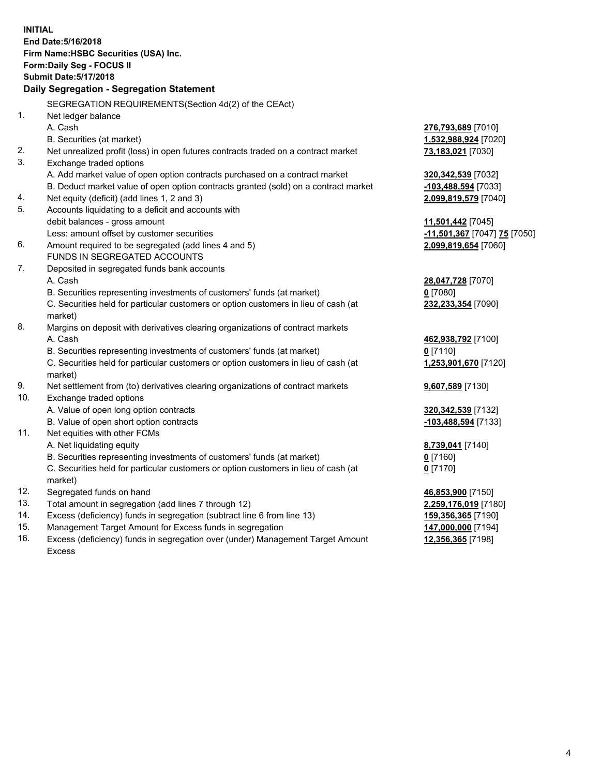**INITIAL End Date:5/16/2018 Firm Name:HSBC Securities (USA) Inc. Form:Daily Seg - FOCUS II Submit Date:5/17/2018 Daily Segregation - Segregation Statement** SEGREGATION REQUIREMENTS(Section 4d(2) of the CEAct) 1. Net ledger balance A. Cash **276,793,689** [7010] B. Securities (at market) **1,532,988,924** [7020] 2. Net unrealized profit (loss) in open futures contracts traded on a contract market **73,183,021** [7030] 3. Exchange traded options A. Add market value of open option contracts purchased on a contract market **320,342,539** [7032] B. Deduct market value of open option contracts granted (sold) on a contract market **-103,488,594** [7033] 4. Net equity (deficit) (add lines 1, 2 and 3) **2,099,819,579** [7040] 5. Accounts liquidating to a deficit and accounts with debit balances - gross amount **11,501,442** [7045] Less: amount offset by customer securities **-11,501,367** [7047] **75** [7050] 6. Amount required to be segregated (add lines 4 and 5) **2,099,819,654** [7060] FUNDS IN SEGREGATED ACCOUNTS 7. Deposited in segregated funds bank accounts A. Cash **28,047,728** [7070] B. Securities representing investments of customers' funds (at market) **0** [7080] C. Securities held for particular customers or option customers in lieu of cash (at market) **232,233,354** [7090] 8. Margins on deposit with derivatives clearing organizations of contract markets A. Cash **462,938,792** [7100] B. Securities representing investments of customers' funds (at market) **0** [7110] C. Securities held for particular customers or option customers in lieu of cash (at market) **1,253,901,670** [7120] 9. Net settlement from (to) derivatives clearing organizations of contract markets **9,607,589** [7130] 10. Exchange traded options A. Value of open long option contracts **320,342,539** [7132] B. Value of open short option contracts **-103,488,594** [7133] 11. Net equities with other FCMs A. Net liquidating equity **8,739,041** [7140] B. Securities representing investments of customers' funds (at market) **0** [7160] C. Securities held for particular customers or option customers in lieu of cash (at market) **0** [7170] 12. Segregated funds on hand **46,853,900** [7150] 13. Total amount in segregation (add lines 7 through 12) **2,259,176,019** [7180] 14. Excess (deficiency) funds in segregation (subtract line 6 from line 13) **159,356,365** [7190] 15. Management Target Amount for Excess funds in segregation **147,000,000** [7194]

16. Excess (deficiency) funds in segregation over (under) Management Target Amount Excess

**12,356,365** [7198]